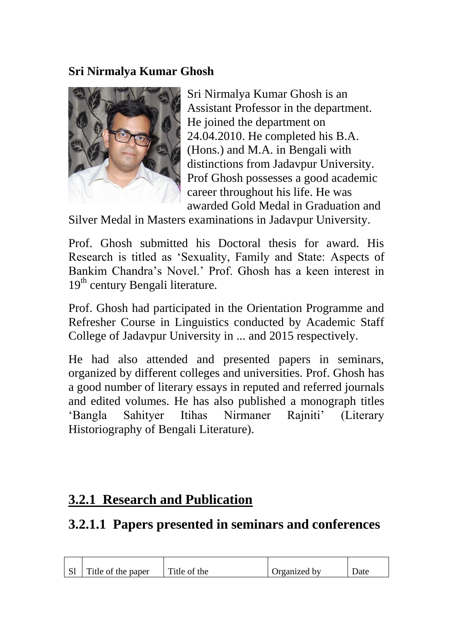## **Sri Nirmalya Kumar Ghosh**



Sri Nirmalya Kumar Ghosh is an Assistant Professor in the department. He joined the department on 24.04.2010. He completed his B.A. (Hons.) and M.A. in Bengali with distinctions from Jadavpur University. Prof Ghosh possesses a good academic career throughout his life. He was awarded Gold Medal in Graduation and

Silver Medal in Masters examinations in Jadavpur University.

Prof. Ghosh submitted his Doctoral thesis for award. His Research is titled as 'Sexuality, Family and State: Aspects of Bankim Chandra's Novel.' Prof. Ghosh has a keen interest in  $19<sup>th</sup>$  century Bengali literature.

Prof. Ghosh had participated in the Orientation Programme and Refresher Course in Linguistics conducted by Academic Staff College of Jadavpur University in ... and 2015 respectively.

He had also attended and presented papers in seminars, organized by different colleges and universities. Prof. Ghosh has a good number of literary essays in reputed and referred journals and edited volumes. He has also published a monograph titles 'Bangla Sahityer Itihas Nirmaner Rajniti' (Literary Historiography of Bengali Literature).

## **3.2.1 Research and Publication**

## **3.2.1.1 Papers presented in seminars and conferences**

| S1 | Title of the paper | Title of the | Organized by | Jate |
|----|--------------------|--------------|--------------|------|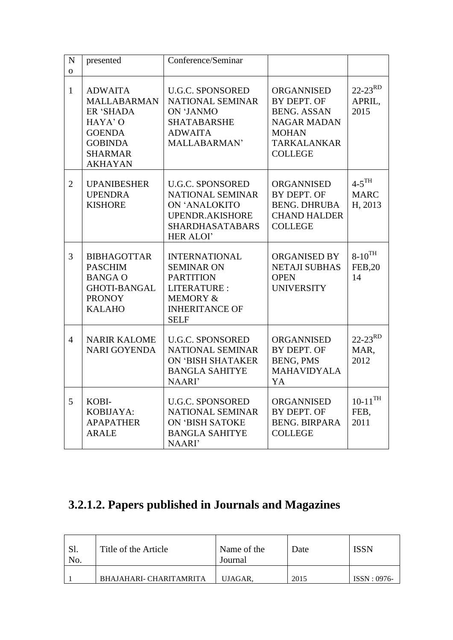| N<br>$\overline{O}$ | presented                                                                                                                           | Conference/Seminar                                                                                                                          |                                                                                                                                      |                                               |
|---------------------|-------------------------------------------------------------------------------------------------------------------------------------|---------------------------------------------------------------------------------------------------------------------------------------------|--------------------------------------------------------------------------------------------------------------------------------------|-----------------------------------------------|
| $\mathbf{1}$        | <b>ADWAITA</b><br><b>MALLABARMAN</b><br>ER 'SHADA<br>HAYA' O<br><b>GOENDA</b><br><b>GOBINDA</b><br><b>SHARMAR</b><br><b>AKHAYAN</b> | <b>U.G.C. SPONSORED</b><br><b>NATIONAL SEMINAR</b><br>ON 'JANMO<br><b>SHATABARSHE</b><br><b>ADWAITA</b><br>MALLABARMAN'                     | <b>ORGANNISED</b><br>BY DEPT. OF<br><b>BENG. ASSAN</b><br><b>NAGAR MADAN</b><br><b>MOHAN</b><br><b>TARKALANKAR</b><br><b>COLLEGE</b> | $22 - 23^{RD}$<br>APRIL,<br>2015              |
| $\overline{2}$      | <b>UPANIBESHER</b><br><b>UPENDRA</b><br><b>KISHORE</b>                                                                              | <b>U.G.C. SPONSORED</b><br>NATIONAL SEMINAR<br>ON 'ANALOKITO<br>UPENDR.AKISHORE<br><b>SHARDHASATABARS</b><br><b>HER ALOI'</b>               | <b>ORGANNISED</b><br>BY DEPT. OF<br><b>BENG. DHRUBA</b><br><b>CHAND HALDER</b><br><b>COLLEGE</b>                                     | $4-5$ <sup>TH</sup><br><b>MARC</b><br>H, 2013 |
| 3                   | <b>BIBHAGOTTAR</b><br><b>PASCHIM</b><br><b>BANGA O</b><br><b>GHOTI-BANGAL</b><br><b>PRONOY</b><br><b>KALAHO</b>                     | <b>INTERNATIONAL</b><br><b>SEMINAR ON</b><br><b>PARTITION</b><br>LITERATURE:<br><b>MEMORY &amp;</b><br><b>INHERITANCE OF</b><br><b>SELF</b> | <b>ORGANISED BY</b><br><b>NETAJI SUBHAS</b><br><b>OPEN</b><br><b>UNIVERSITY</b>                                                      | $8-10^{TH}$<br><b>FEB,20</b><br>14            |
| $\overline{4}$      | <b>NARIR KALOME</b><br><b>NARI GOYENDA</b>                                                                                          | <b>U.G.C. SPONSORED</b><br>NATIONAL SEMINAR<br>ON 'BISH SHATAKER<br><b>BANGLA SAHITYE</b><br>NAARI'                                         | <b>ORGANNISED</b><br>BY DEPT. OF<br><b>BENG, PMS</b><br><b>MAHAVIDYALA</b><br>YA                                                     | $22 - 23^{RD}$<br>MAR,<br>2012                |
| 5                   | KOBI-<br>KOBIJAYA:<br><b>APAPATHER</b><br><b>ARALE</b>                                                                              | <b>U.G.C. SPONSORED</b><br>NATIONAL SEMINAR<br>ON 'BISH SATOKE<br><b>BANGLA SAHITYE</b><br>NAARI'                                           | <b>ORGANNISED</b><br>BY DEPT. OF<br><b>BENG. BIRPARA</b><br><b>COLLEGE</b>                                                           | $10\mbox{-}11^{\mbox{TH}}$<br>FEB,<br>2011    |

## **3.2.1.2. Papers published in Journals and Magazines**

| Sl.<br>No. | Title of the Article    | Name of the<br>Journal | Date | ISSN          |
|------------|-------------------------|------------------------|------|---------------|
|            | BHAJAHARI- CHARITAMRITA | UJAGAR.                | 2015 | $ISSN: 0976-$ |